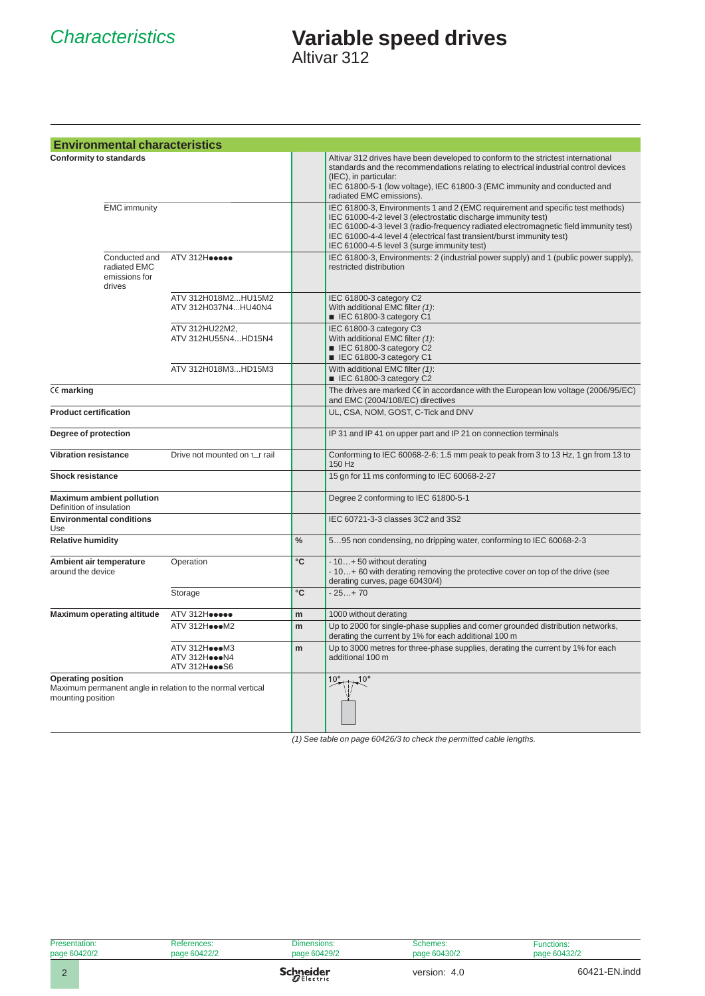# *Characteristics* **Variable speed drives**

Altivar 312

| <b>Environmental characteristics</b>                                                                         |                                                 |               |                                                                                                                                                                                                                                                                                                                                                                |
|--------------------------------------------------------------------------------------------------------------|-------------------------------------------------|---------------|----------------------------------------------------------------------------------------------------------------------------------------------------------------------------------------------------------------------------------------------------------------------------------------------------------------------------------------------------------------|
| <b>Conformity to standards</b>                                                                               |                                                 |               | Altivar 312 drives have been developed to conform to the strictest international<br>standards and the recommendations relating to electrical industrial control devices<br>(IEC), in particular:<br>IEC 61800-5-1 (low voltage), IEC 61800-3 (EMC immunity and conducted and<br>radiated EMC emissions).                                                       |
| <b>EMC</b> immunity                                                                                          |                                                 |               | IEC 61800-3, Environments 1 and 2 (EMC requirement and specific test methods)<br>IEC 61000-4-2 level 3 (electrostatic discharge immunity test)<br>IEC 61000-4-3 level 3 (radio-frequency radiated electromagnetic field immunity test)<br>IEC 61000-4-4 level 4 (electrical fast transient/burst immunity test)<br>IEC 61000-4-5 level 3 (surge immunity test) |
| Conducted and<br>radiated EMC<br>emissions for<br>drives                                                     | ATV 312Heesee                                   |               | IEC 61800-3, Environments: 2 (industrial power supply) and 1 (public power supply),<br>restricted distribution                                                                                                                                                                                                                                                 |
|                                                                                                              | ATV 312H018M2HU15M2<br>ATV 312H037N4HU40N4      |               | IEC 61800-3 category C2<br>With additional EMC filter (1):<br>EC 61800-3 category C1                                                                                                                                                                                                                                                                           |
|                                                                                                              | ATV 312HU22M2,<br>ATV 312HU55N4HD15N4           |               | IEC 61800-3 category C3<br>With additional EMC filter (1):<br>EC 61800-3 category C2<br>EC 61800-3 category C1                                                                                                                                                                                                                                                 |
|                                                                                                              | ATV 312H018M3HD15M3                             |               | With additional EMC filter (1):<br>EC 61800-3 category C2                                                                                                                                                                                                                                                                                                      |
| CE marking                                                                                                   |                                                 |               | The drives are marked CE in accordance with the European low voltage (2006/95/EC)<br>and EMC (2004/108/EC) directives                                                                                                                                                                                                                                          |
| <b>Product certification</b>                                                                                 |                                                 |               | UL, CSA, NOM, GOST, C-Tick and DNV                                                                                                                                                                                                                                                                                                                             |
| Degree of protection                                                                                         |                                                 |               | IP 31 and IP 41 on upper part and IP 21 on connection terminals                                                                                                                                                                                                                                                                                                |
| <b>Vibration resistance</b>                                                                                  | Drive not mounted on $\sqcup$ rail              |               | Conforming to IEC 60068-2-6: 1.5 mm peak to peak from 3 to 13 Hz, 1 gn from 13 to<br>150 Hz                                                                                                                                                                                                                                                                    |
| <b>Shock resistance</b>                                                                                      |                                                 |               | 15 gn for 11 ms conforming to IEC 60068-2-27                                                                                                                                                                                                                                                                                                                   |
| <b>Maximum ambient pollution</b><br>Definition of insulation                                                 |                                                 |               | Degree 2 conforming to IEC 61800-5-1                                                                                                                                                                                                                                                                                                                           |
| <b>Environmental conditions</b><br>Use                                                                       |                                                 |               | IEC 60721-3-3 classes 3C2 and 3S2                                                                                                                                                                                                                                                                                                                              |
| <b>Relative humidity</b>                                                                                     |                                                 | $\frac{0}{0}$ | 595 non condensing, no dripping water, conforming to IEC 60068-2-3                                                                                                                                                                                                                                                                                             |
| Ambient air temperature<br>around the device                                                                 | Operation                                       | °C            | - 10 + 50 without derating<br>- 10+ 60 with derating removing the protective cover on top of the drive (see<br>derating curves, page 60430/4)                                                                                                                                                                                                                  |
|                                                                                                              | Storage                                         | °C            | $-25+70$                                                                                                                                                                                                                                                                                                                                                       |
| <b>Maximum operating altitude</b>                                                                            | ATV 312Heesee                                   | m             | 1000 without derating                                                                                                                                                                                                                                                                                                                                          |
|                                                                                                              | ATV 312HoooM2                                   | m             | Up to 2000 for single-phase supplies and corner grounded distribution networks,<br>derating the current by 1% for each additional 100 m                                                                                                                                                                                                                        |
|                                                                                                              | ATV 312HoooM3<br>ATV 312HoooN4<br>ATV 312HoooS6 | m             | Up to 3000 metres for three-phase supplies, derating the current by 1% for each<br>additional 100 m                                                                                                                                                                                                                                                            |
| <b>Operating position</b><br>Maximum permanent angle in relation to the normal vertical<br>mounting position |                                                 |               | 10 $^{\circ}$<br>$10^{\circ}$                                                                                                                                                                                                                                                                                                                                  |

*(1) See table on page 60426/3 to check the permitted cable lengths.*

| Presentation: | References:  | Dimensions:      | Schemes:     | <b>Functions:</b> |
|---------------|--------------|------------------|--------------|-------------------|
| page 60420/2  | page 60422/2 | page 60429/2     | page 60430/2 | page 60432/2      |
|               |              | <b>Schneider</b> | version: 4.0 | 60421-EN.indd     |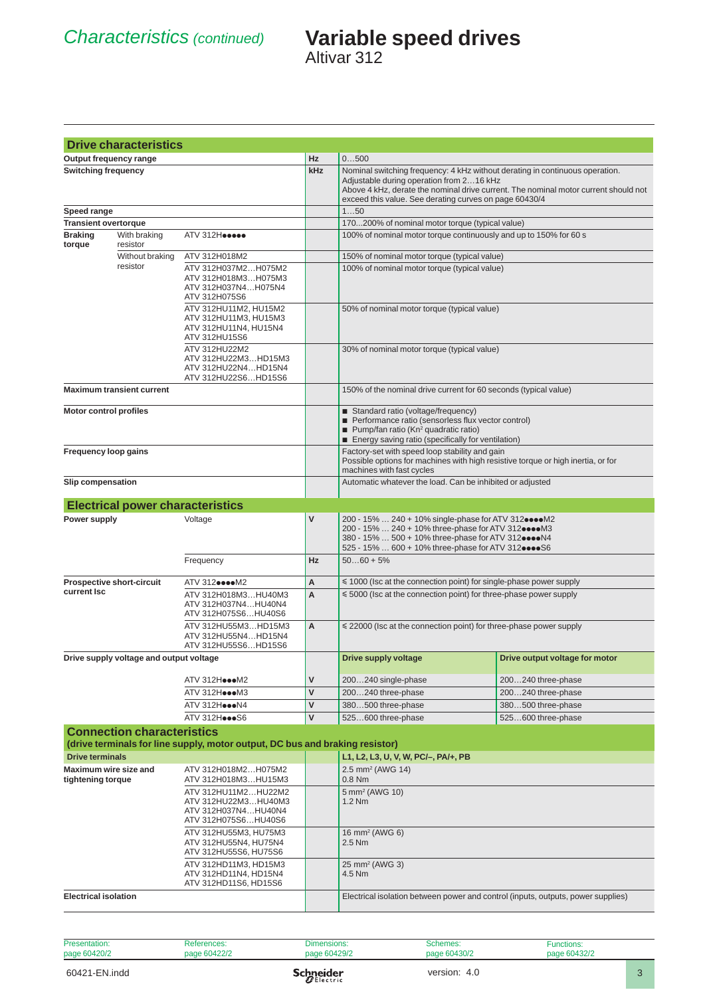|                                               | <b>Drive characteristics</b>            |                                                                                           |                                                                                                                                                                                                                        |                                                                                                                                                                                    |                                                                                     |  |
|-----------------------------------------------|-----------------------------------------|-------------------------------------------------------------------------------------------|------------------------------------------------------------------------------------------------------------------------------------------------------------------------------------------------------------------------|------------------------------------------------------------------------------------------------------------------------------------------------------------------------------------|-------------------------------------------------------------------------------------|--|
|                                               | Output frequency range                  |                                                                                           | Hz                                                                                                                                                                                                                     | 0500                                                                                                                                                                               |                                                                                     |  |
| <b>Switching frequency</b>                    |                                         |                                                                                           | kHz                                                                                                                                                                                                                    | Nominal switching frequency: 4 kHz without derating in continuous operation.<br>Adjustable during operation from 216 kHz<br>exceed this value. See derating curves on page 60430/4 | Above 4 kHz, derate the nominal drive current. The nominal motor current should not |  |
| Speed range                                   |                                         |                                                                                           |                                                                                                                                                                                                                        | 150                                                                                                                                                                                |                                                                                     |  |
| <b>Transient overtorque</b><br><b>Braking</b> | With braking                            | ATV 312Heesee                                                                             |                                                                                                                                                                                                                        | 170200% of nominal motor torque (typical value)<br>100% of nominal motor torque continuously and up to 150% for 60 s                                                               |                                                                                     |  |
| torque                                        | resistor                                |                                                                                           |                                                                                                                                                                                                                        |                                                                                                                                                                                    |                                                                                     |  |
|                                               | Without braking<br>resistor             | ATV 312H018M2                                                                             |                                                                                                                                                                                                                        | 150% of nominal motor torque (typical value)                                                                                                                                       |                                                                                     |  |
|                                               |                                         | ATV 312H037M2H075M2<br>ATV 312H018M3H075M3<br>ATV 312H037N4H075N4<br>ATV 312H075S6        |                                                                                                                                                                                                                        | 100% of nominal motor torque (typical value)                                                                                                                                       |                                                                                     |  |
|                                               |                                         | ATV 312HU11M2, HU15M2<br>ATV 312HU11M3, HU15M3<br>ATV 312HU11N4, HU15N4<br>ATV 312HU15S6  |                                                                                                                                                                                                                        | 50% of nominal motor torque (typical value)                                                                                                                                        |                                                                                     |  |
|                                               |                                         | ATV 312HU22M2<br>ATV 312HU22M3HD15M3<br>ATV 312HU22N4HD15N4<br>ATV 312HU22S6HD15S6        |                                                                                                                                                                                                                        | 30% of nominal motor torque (typical value)                                                                                                                                        |                                                                                     |  |
| <b>Maximum transient current</b>              |                                         |                                                                                           | 150% of the nominal drive current for 60 seconds (typical value)                                                                                                                                                       |                                                                                                                                                                                    |                                                                                     |  |
| <b>Motor control profiles</b>                 |                                         |                                                                                           | Standard ratio (voltage/frequency)<br>Performance ratio (sensorless flux vector control)<br>Pump/fan ratio (Kn <sup>2</sup> quadratic ratio)<br>Energy saving ratio (specifically for ventilation)                     |                                                                                                                                                                                    |                                                                                     |  |
| Frequency loop gains                          |                                         |                                                                                           | Factory-set with speed loop stability and gain<br>Possible options for machines with high resistive torque or high inertia, or for<br>machines with fast cycles                                                        |                                                                                                                                                                                    |                                                                                     |  |
| <b>Slip compensation</b>                      |                                         |                                                                                           |                                                                                                                                                                                                                        | Automatic whatever the load. Can be inhibited or adjusted                                                                                                                          |                                                                                     |  |
|                                               | <b>Electrical power characteristics</b> |                                                                                           |                                                                                                                                                                                                                        |                                                                                                                                                                                    |                                                                                     |  |
|                                               | Power supply<br>Voltage                 |                                                                                           | $\mathsf{V}$                                                                                                                                                                                                           | 200 - 15%  240 + 10% single-phase for ATV 312eeeeM2                                                                                                                                |                                                                                     |  |
|                                               |                                         |                                                                                           | 200 - 15%  240 + 10% three-phase for ATV 312 $\bullet\bullet\bullet\bullet$ M3<br>380 - 15%  500 + 10% three-phase for ATV 3120000N4<br>525 - 15%  600 + 10% three-phase for ATV 312 $\bullet\bullet\bullet\bullet$ S6 |                                                                                                                                                                                    |                                                                                     |  |
|                                               |                                         | Frequency                                                                                 | <b>Hz</b>                                                                                                                                                                                                              | $5060 + 5%$                                                                                                                                                                        |                                                                                     |  |
|                                               | <b>Prospective short-circuit</b>        | ATV 3120000M2                                                                             | A                                                                                                                                                                                                                      | $\leq$ 1000 (lsc at the connection point) for single-phase power supply                                                                                                            |                                                                                     |  |
| current Isc                                   |                                         | ATV 312H018M3 HU40M3<br>ATV 312H037N4HU40N4<br>ATV 312H075S6HU40S6                        | A                                                                                                                                                                                                                      | $\leq 5000$ (lsc at the connection point) for three-phase power supply                                                                                                             |                                                                                     |  |
|                                               |                                         | ATV 312HU55M3HD15M3<br>ATV 312HU55N4HD15N4<br>ATV 312HU55S6HD15S6                         | A                                                                                                                                                                                                                      | $\leq$ 22000 (Isc at the connection point) for three-phase power supply                                                                                                            |                                                                                     |  |
|                                               | Drive supply voltage and output voltage |                                                                                           |                                                                                                                                                                                                                        | Drive supply voltage                                                                                                                                                               | Drive output voltage for motor                                                      |  |
|                                               |                                         | ATV 312HoooM2                                                                             | $\mathsf{V}$                                                                                                                                                                                                           | 200240 single-phase                                                                                                                                                                | 200240 three-phase                                                                  |  |
|                                               |                                         | ATV 312HoooM3                                                                             | $\mathsf{V}$                                                                                                                                                                                                           | 200240 three-phase                                                                                                                                                                 | 200240 three-phase                                                                  |  |
|                                               |                                         | ATV 312HoooN4                                                                             | $\mathsf{V}$                                                                                                                                                                                                           | 380500 three-phase                                                                                                                                                                 | 380500 three-phase                                                                  |  |
|                                               |                                         | ATV 312HoooS6                                                                             | $\mathsf{V}$                                                                                                                                                                                                           | 525600 three-phase                                                                                                                                                                 | 525600 three-phase                                                                  |  |
|                                               | <b>Connection characteristics</b>       |                                                                                           |                                                                                                                                                                                                                        |                                                                                                                                                                                    |                                                                                     |  |
| <b>Drive terminals</b>                        |                                         | (drive terminals for line supply, motor output, DC bus and braking resistor)              |                                                                                                                                                                                                                        |                                                                                                                                                                                    |                                                                                     |  |
|                                               | Maximum wire size and                   | ATV 312H018M2H075M2                                                                       |                                                                                                                                                                                                                        | L1, L2, L3, U, V, W, PC/-, PA/+, PB<br>2.5 mm <sup>2</sup> (AWG 14)                                                                                                                |                                                                                     |  |
| tightening torque                             |                                         | ATV 312H018M3HU15M3                                                                       |                                                                                                                                                                                                                        | 0.8 Nm                                                                                                                                                                             |                                                                                     |  |
|                                               |                                         | ATV 312HU11M2 HU22M2<br>ATV 312HU22M3HU40M3<br>ATV 312H037N4HU40N4<br>ATV 312H075S6HU40S6 |                                                                                                                                                                                                                        | 5 mm <sup>2</sup> (AWG 10)<br>$1.2$ Nm                                                                                                                                             |                                                                                     |  |
|                                               |                                         | ATV 312HU55M3, HU75M3<br>ATV 312HU55N4, HU75N4<br>ATV 312HU55S6, HU75S6                   |                                                                                                                                                                                                                        | 16 mm <sup>2</sup> (AWG 6)<br>2.5 Nm                                                                                                                                               |                                                                                     |  |
|                                               |                                         | ATV 312HD11M3, HD15M3<br>ATV 312HD11N4, HD15N4<br>ATV 312HD11S6, HD15S6                   |                                                                                                                                                                                                                        | 25 mm <sup>2</sup> (AWG 3)<br>4.5 Nm                                                                                                                                               |                                                                                     |  |
| <b>Electrical isolation</b>                   |                                         |                                                                                           |                                                                                                                                                                                                                        | Electrical isolation between power and control (inputs, outputs, power supplies)                                                                                                   |                                                                                     |  |
|                                               |                                         |                                                                                           |                                                                                                                                                                                                                        |                                                                                                                                                                                    |                                                                                     |  |

| Presentation: | References:  | Dimensions:      | Schemes:     | Functions:   |  |
|---------------|--------------|------------------|--------------|--------------|--|
| page 60420/2  | page 60422/2 | page 60429/2     | page 60430/2 | page 60432/2 |  |
| 60421-EN.indd |              | <b>Schneider</b> | version: 4.0 |              |  |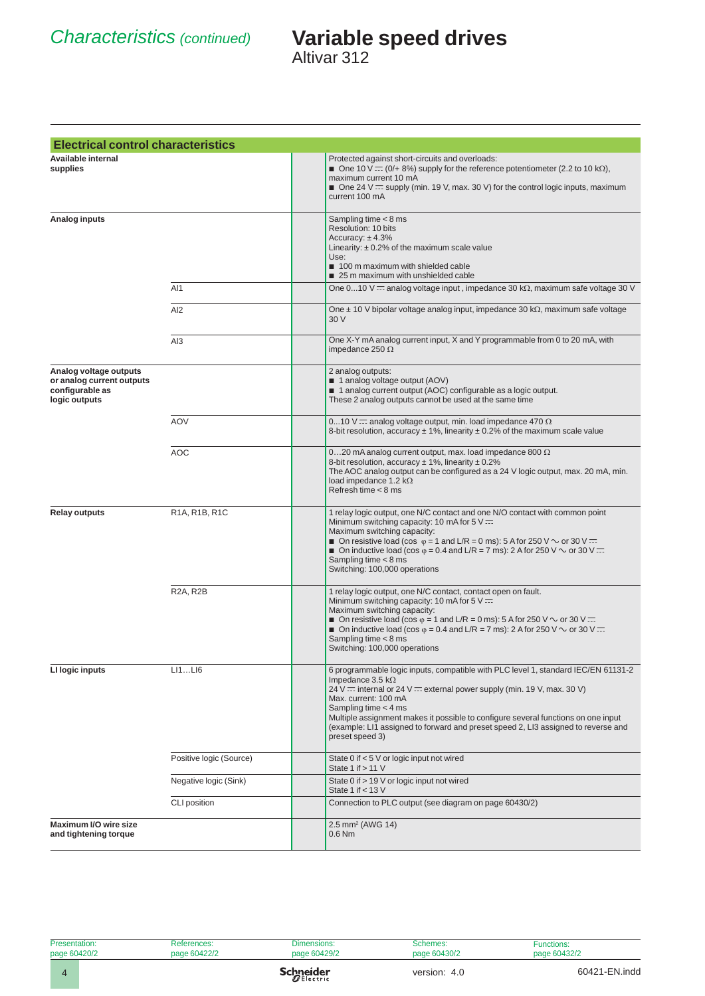| <b>Electrical control characteristics</b>                                               |                         |                                                                                                                                                                                                                                                                                                                                                                                                                                           |
|-----------------------------------------------------------------------------------------|-------------------------|-------------------------------------------------------------------------------------------------------------------------------------------------------------------------------------------------------------------------------------------------------------------------------------------------------------------------------------------------------------------------------------------------------------------------------------------|
| Available internal<br>supplies                                                          |                         | Protected against short-circuits and overloads:<br>One 10 V = $(0/4 8\%)$ supply for the reference potentiometer (2.2 to 10 kΩ),<br>maximum current 10 mA<br>$\blacksquare$ One 24 V $\equiv$ supply (min. 19 V, max. 30 V) for the control logic inputs, maximum<br>current 100 mA                                                                                                                                                       |
| Analog inputs                                                                           |                         | Sampling time $<$ 8 ms<br>Resolution: 10 bits<br>Accuracy: $± 4.3%$<br>Linearity: $\pm$ 0.2% of the maximum scale value<br>Use:<br>100 m maximum with shielded cable<br>25 m maximum with unshielded cable                                                                                                                                                                                                                                |
|                                                                                         | AI1                     | One 010 V $\overline{ }$ analog voltage input, impedance 30 k $\Omega$ , maximum safe voltage 30 V                                                                                                                                                                                                                                                                                                                                        |
|                                                                                         | AI <sub>2</sub>         | One $\pm$ 10 V bipolar voltage analog input, impedance 30 k $\Omega$ , maximum safe voltage<br>30 V                                                                                                                                                                                                                                                                                                                                       |
|                                                                                         | AI3                     | One X-Y mA analog current input, X and Y programmable from 0 to 20 mA, with<br>impedance 250 $\Omega$                                                                                                                                                                                                                                                                                                                                     |
| Analog voltage outputs<br>or analog current outputs<br>configurable as<br>logic outputs |                         | 2 analog outputs:<br>1 analog voltage output (AOV)<br>1 analog current output (AOC) configurable as a logic output.<br>These 2 analog outputs cannot be used at the same time                                                                                                                                                                                                                                                             |
|                                                                                         | <b>AOV</b>              | 010 V = analog voltage output, min. load impedance 470 $\Omega$<br>8-bit resolution, accuracy $\pm$ 1%, linearity $\pm$ 0.2% of the maximum scale value                                                                                                                                                                                                                                                                                   |
|                                                                                         | AOC                     | 020 mA analog current output, max. load impedance 800 $\Omega$<br>8-bit resolution, accuracy $\pm$ 1%, linearity $\pm$ 0.2%<br>The AOC analog output can be configured as a 24 V logic output, max. 20 mA, min.<br>load impedance 1.2 $k\Omega$<br>Refresh time < 8 ms                                                                                                                                                                    |
| <b>Relay outputs</b>                                                                    | R1A, R1B, R1C           | 1 relay logic output, one N/C contact and one N/O contact with common point<br>Minimum switching capacity: 10 mA for $5 \vee \equiv$<br>Maximum switching capacity:<br>■ On resistive load (cos $\varphi$ = 1 and L/R = 0 ms): 5 A for 250 V $\sim$ or 30 V $\pm$<br>■ On inductive load (cos $\varphi$ = 0.4 and L/R = 7 ms): 2 A for 250 V $\sim$ or 30 V $\pm$<br>Sampling time $<$ 8 ms<br>Switching: 100,000 operations              |
|                                                                                         | R2A, R2B                | 1 relay logic output, one N/C contact, contact open on fault.<br>Minimum switching capacity: 10 mA for 5 $\sqrt{ }$ $\equiv$<br>Maximum switching capacity:<br>On resistive load (cos $\varphi$ = 1 and L/R = 0 ms): 5 A for 250 V $\sim$ or 30 V $\pm$<br>■ On inductive load (cos $\varphi$ = 0.4 and L/R = 7 ms): 2 A for 250 V $\sim$ or 30 V $\pm$<br>Sampling time $<$ 8 ms<br>Switching: 100,000 operations                        |
| LI logic inputs                                                                         | LI1LI6                  | 6 programmable logic inputs, compatible with PLC level 1, standard IEC/EN 61131-2<br>Impedance 3.5 $k\Omega$<br>24 V ::: internal or 24 V ::: external power supply (min. 19 V, max. 30 V)<br>Max. current: 100 mA<br>Sampling time $<$ 4 ms<br>Multiple assignment makes it possible to configure several functions on one input<br>(example: LI1 assigned to forward and preset speed 2, LI3 assigned to reverse and<br>preset speed 3) |
|                                                                                         | Positive logic (Source) | State 0 if < 5 V or logic input not wired<br>State 1 if $> 11$ V                                                                                                                                                                                                                                                                                                                                                                          |
|                                                                                         | Negative logic (Sink)   | State 0 if > 19 V or logic input not wired<br>State 1 if $<$ 13 V                                                                                                                                                                                                                                                                                                                                                                         |
|                                                                                         | CLI position            | Connection to PLC output (see diagram on page 60430/2)                                                                                                                                                                                                                                                                                                                                                                                    |
| Maximum I/O wire size<br>and tightening torque                                          |                         | 2.5 mm <sup>2</sup> (AWG 14)<br>$0.6$ Nm                                                                                                                                                                                                                                                                                                                                                                                                  |

| Presentation: | References:  | Dimensions:      | Schemes:     | Functions:    |
|---------------|--------------|------------------|--------------|---------------|
| page 60420/2  | page 60422/2 | page 60429/2     | page 60430/2 | page 60432/2  |
|               |              | <b>Schneider</b> | version: 4.0 | 60421-EN.indd |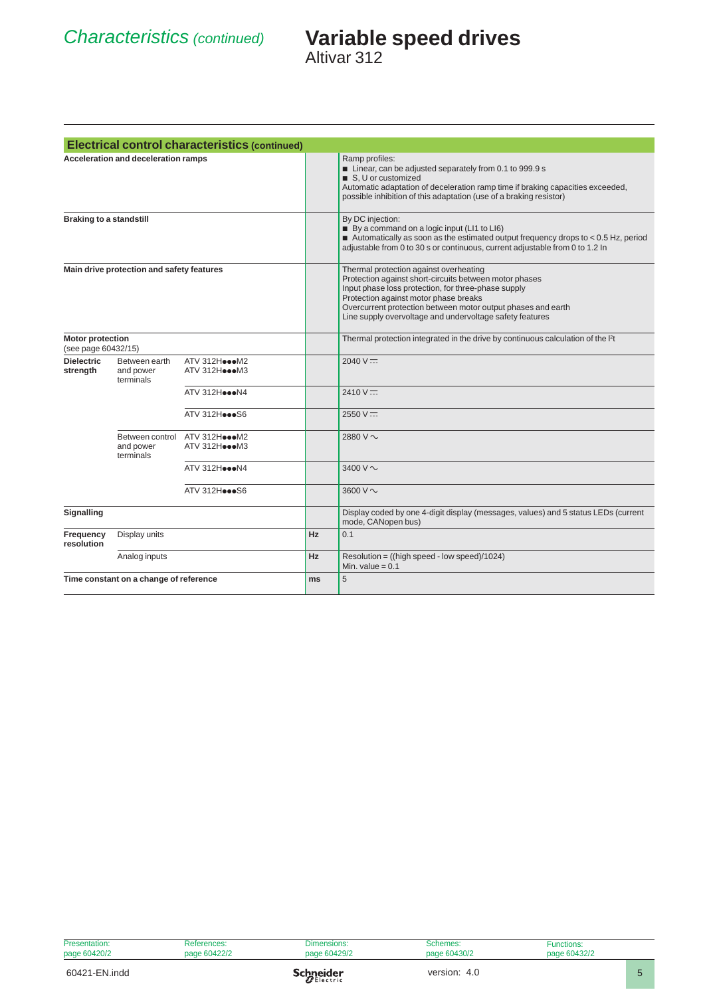|                                                |                                            | <b>Electrical control characteristics (continued)</b> |                                                                                              |                                                                                                                                                                                                                                                                                                                              |
|------------------------------------------------|--------------------------------------------|-------------------------------------------------------|----------------------------------------------------------------------------------------------|------------------------------------------------------------------------------------------------------------------------------------------------------------------------------------------------------------------------------------------------------------------------------------------------------------------------------|
|                                                | <b>Acceleration and deceleration ramps</b> |                                                       |                                                                                              | Ramp profiles:<br>■ Linear, can be adjusted separately from 0.1 to 999.9 s<br>S. U or customized<br>Automatic adaptation of deceleration ramp time if braking capacities exceeded,<br>possible inhibition of this adaptation (use of a braking resistor)                                                                     |
| <b>Braking to a standstill</b>                 |                                            |                                                       |                                                                                              | By DC injection:<br>By a command on a logic input (LI1 to LI6)<br>Automatically as soon as the estimated output frequency drops to $< 0.5$ Hz, period<br>adjustable from 0 to 30 s or continuous, current adjustable from 0 to 1.2 In                                                                                        |
|                                                | Main drive protection and safety features  |                                                       |                                                                                              | Thermal protection against overheating<br>Protection against short-circuits between motor phases<br>Input phase loss protection, for three-phase supply<br>Protection against motor phase breaks<br>Overcurrent protection between motor output phases and earth<br>Line supply overvoltage and undervoltage safety features |
| <b>Motor protection</b><br>(see page 60432/15) |                                            |                                                       | Thermal protection integrated in the drive by continuous calculation of the I <sup>2</sup> t |                                                                                                                                                                                                                                                                                                                              |
| <b>Dielectric</b><br>strength                  | Between earth<br>and power<br>terminals    | ATV 312HoooM2<br>ATV 312HoooM3                        |                                                                                              | $2040 \text{ V} =$                                                                                                                                                                                                                                                                                                           |
|                                                |                                            | ATV 312HoooN4                                         |                                                                                              | $2410 \text{ V} =$                                                                                                                                                                                                                                                                                                           |
|                                                |                                            | ATV 312Hoo0S6                                         |                                                                                              | $2550 V =$                                                                                                                                                                                                                                                                                                                   |
|                                                | and power<br>terminals                     | Between control ATV 312HoooM2<br>ATV 312HoooM3        |                                                                                              | 2880 V ~                                                                                                                                                                                                                                                                                                                     |
|                                                |                                            | ATV 312HoooN4                                         |                                                                                              | 3400 V ~                                                                                                                                                                                                                                                                                                                     |
|                                                |                                            | ATV 312Hoo0S6                                         |                                                                                              | 3600 V $\sim$                                                                                                                                                                                                                                                                                                                |
| Signalling                                     |                                            |                                                       |                                                                                              | Display coded by one 4-digit display (messages, values) and 5 status LEDs (current<br>mode, CANopen bus)                                                                                                                                                                                                                     |
| Frequency<br>resolution                        | Display units                              |                                                       | Hz                                                                                           | 0.1                                                                                                                                                                                                                                                                                                                          |
|                                                | Analog inputs                              |                                                       | Hz                                                                                           | Resolution = ((high speed - low speed)/1024)<br>Min. value $= 0.1$                                                                                                                                                                                                                                                           |
|                                                | Time constant on a change of reference     |                                                       | ms                                                                                           | 5                                                                                                                                                                                                                                                                                                                            |

| Presentation: | References:  | Dimensions:      | Schemes:     | <b>Functions:</b> |  |
|---------------|--------------|------------------|--------------|-------------------|--|
| page 60420/2  | page 60422/2 | page 60429/2     | page 60430/2 | page 60432/2      |  |
| 60421-EN.indd |              | <b>Schneider</b> | version: 4.0 |                   |  |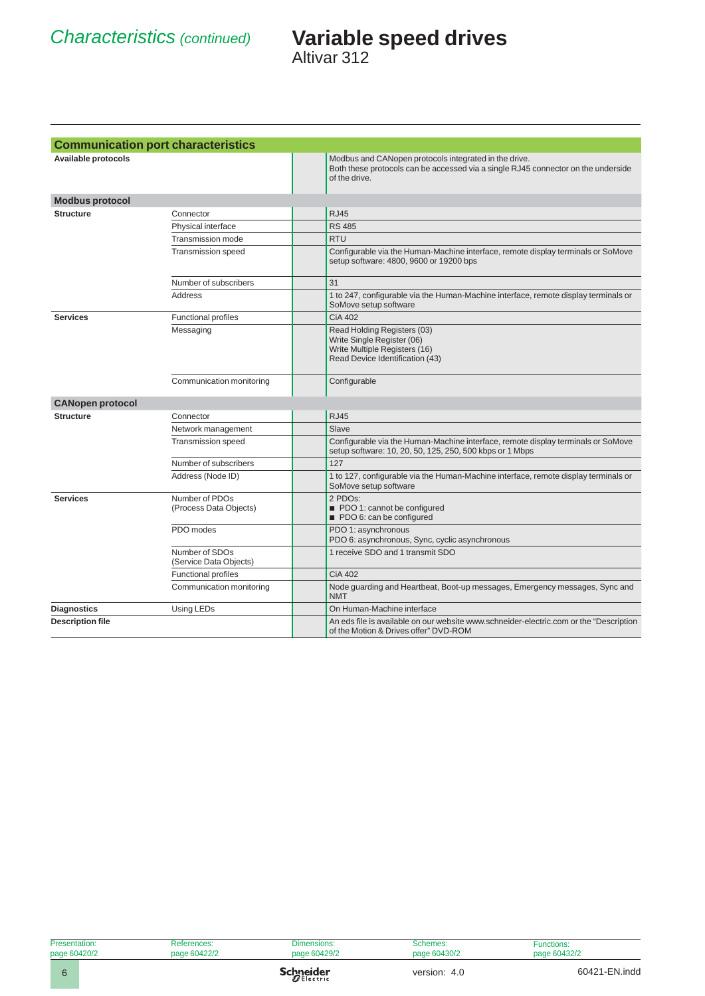|                         | <b>Communication port characteristics</b> |                                                                                                                                                             |
|-------------------------|-------------------------------------------|-------------------------------------------------------------------------------------------------------------------------------------------------------------|
| Available protocols     |                                           | Modbus and CANopen protocols integrated in the drive.<br>Both these protocols can be accessed via a single RJ45 connector on the underside<br>of the drive. |
| <b>Modbus protocol</b>  |                                           |                                                                                                                                                             |
| <b>Structure</b>        | Connector                                 | <b>RJ45</b>                                                                                                                                                 |
|                         | Physical interface                        | <b>RS 485</b>                                                                                                                                               |
|                         | Transmission mode                         | <b>RTU</b>                                                                                                                                                  |
|                         | <b>Transmission speed</b>                 | Configurable via the Human-Machine interface, remote display terminals or SoMove<br>setup software: 4800, 9600 or 19200 bps                                 |
|                         | Number of subscribers                     | 31                                                                                                                                                          |
|                         | Address                                   | 1 to 247, configurable via the Human-Machine interface, remote display terminals or<br>SoMove setup software                                                |
| <b>Services</b>         | <b>Functional profiles</b>                | CiA 402                                                                                                                                                     |
|                         | Messaging                                 | Read Holding Registers (03)<br>Write Single Register (06)<br>Write Multiple Registers (16)<br>Read Device Identification (43)                               |
|                         | Communication monitoring                  | Configurable                                                                                                                                                |
| <b>CANopen protocol</b> |                                           |                                                                                                                                                             |
| <b>Structure</b>        | Connector                                 | <b>RJ45</b>                                                                                                                                                 |
|                         | Network management                        | Slave                                                                                                                                                       |
|                         | <b>Transmission speed</b>                 | Configurable via the Human-Machine interface, remote display terminals or SoMove<br>setup software: 10, 20, 50, 125, 250, 500 kbps or 1 Mbps                |
|                         | Number of subscribers                     | 127                                                                                                                                                         |
|                         | Address (Node ID)                         | 1 to 127, configurable via the Human-Machine interface, remote display terminals or<br>SoMove setup software                                                |
| <b>Services</b>         | Number of PDOs<br>(Process Data Objects)  | 2 PDO <sub>s</sub> :<br>PDO 1: cannot be configured<br>PDO 6: can be configured                                                                             |
|                         | PDO modes                                 | PDO 1: asynchronous<br>PDO 6: asynchronous, Sync, cyclic asynchronous                                                                                       |
|                         | Number of SDOs<br>(Service Data Objects)  | 1 receive SDO and 1 transmit SDO                                                                                                                            |
|                         | <b>Functional profiles</b>                | <b>CiA 402</b>                                                                                                                                              |
|                         | Communication monitoring                  | Node guarding and Heartbeat, Boot-up messages, Emergency messages, Sync and<br><b>NMT</b>                                                                   |
| <b>Diagnostics</b>      | Using LEDs                                | On Human-Machine interface                                                                                                                                  |
| <b>Description file</b> |                                           | An eds file is available on our website www.schneider-electric.com or the "Description"<br>of the Motion & Drives offer" DVD-ROM                            |

| Presentation: | References:  | Dimensions:      | Schemes:     | <b>Functions:</b> |
|---------------|--------------|------------------|--------------|-------------------|
| page 60420/2  | page 60422/2 | page 60429/2     | page 60430/2 | page 60432/2      |
|               |              | <b>Schneider</b> | version: 4.0 | 60421-EN.indd     |